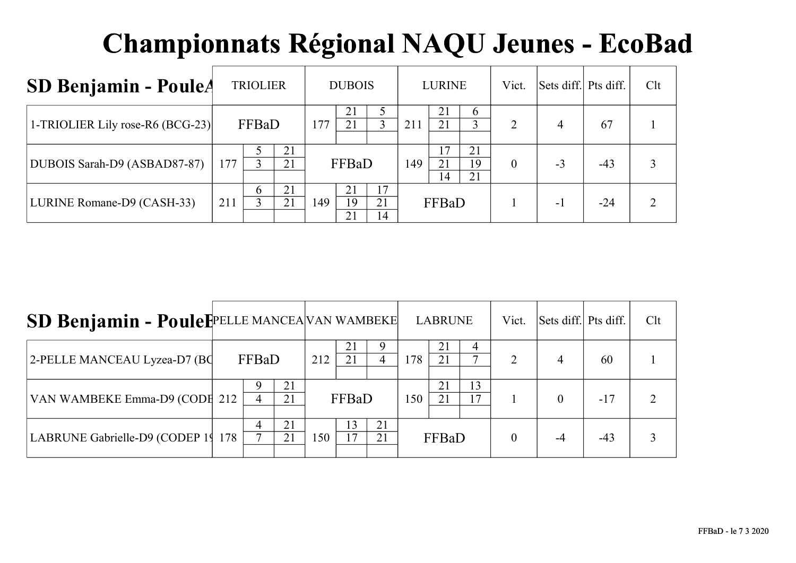| SD Benjamin - PouleA             |     | <b>TRIOLIER</b> |          |     | <b>DUBOIS</b>  |                             |     | <b>LURINE</b>              |                | Vict.    | Sets diff. Pts diff. |       | Clt |
|----------------------------------|-----|-----------------|----------|-----|----------------|-----------------------------|-----|----------------------------|----------------|----------|----------------------|-------|-----|
| 1-TRIOLIER Lily rose-R6 (BCG-23) |     | FFBaD           |          | 177 | 21<br>21       |                             | 211 | 21<br>21                   | $\sigma$       | 2        | 4                    | 67    |     |
| DUBOIS Sarah-D9 (ASBAD87-87)     | 177 |                 | 21<br>21 |     | FFBaD          |                             | 149 | $\overline{7}$<br>21<br>14 | 21<br>19<br>21 | $\theta$ | $-3$                 | $-43$ |     |
| LURINE Romane-D9 (CASH-33)       | 211 | $\mathfrak b$   | 21<br>21 | 149 | 21<br>19<br>21 | .7<br>21<br>$\overline{14}$ |     | FFBaD                      |                |          | - 1                  | $-24$ |     |

| SD Benjamin - PouleFPELLE MANCEA VAN WAMBEKE |       |          |     |       |          |     | <b>LABRUNE</b> |          | Vict.          | Sets diff. Pts diff. |       | Clt |
|----------------------------------------------|-------|----------|-----|-------|----------|-----|----------------|----------|----------------|----------------------|-------|-----|
| 2-PELLE MANCEAU Lyzea-D7 (BC                 | FFBaD |          | 212 | 21    |          | 178 | 21<br>21       | 4        | $\overline{2}$ | 4                    | 60    |     |
| VAN WAMBEKE Emma-D9 (CODE 212                | 4     | 21<br>21 |     | FFBaD |          | 150 | 21<br>21       | 13<br>17 |                |                      | $-17$ |     |
| LABRUNE Gabrielle-D9 (CODEP 19 178           | 4     | 21<br>21 | 150 | 13    | 21<br>21 |     | FFBaD          |          |                |                      | $-43$ |     |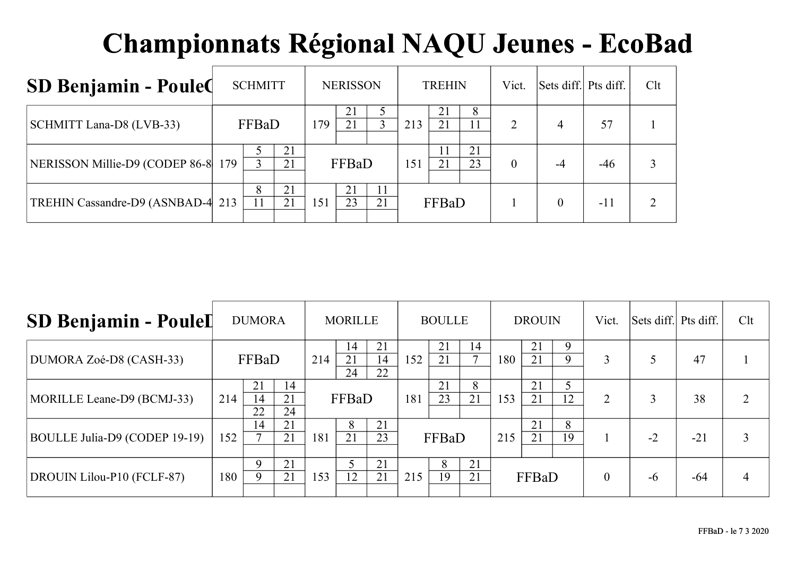| <b>SD Benjamin - Poule Q</b>       | <b>SCHMITT</b> |          |     | <b>NERISSON</b> |    |     | <b>TREHIN</b> |          | Vict. | Sets diff. Pts diff. |       | Clt |
|------------------------------------|----------------|----------|-----|-----------------|----|-----|---------------|----------|-------|----------------------|-------|-----|
| SCHMITT Lana-D8 (LVB-33)           | FFBaD          |          | 179 | 21<br>21        |    | 213 | 21<br>21      | 8        | 2     | 4                    | 57    |     |
| NERISSON Millie-D9 (CODEP 86-8 179 |                | 21<br>21 |     | FFBaD           |    | 151 | 11<br>21      | 21<br>23 | 0     | $-4$                 | $-46$ |     |
| TREHIN Cassandre-D9 (ASNBAD-4 213) | 8              | 21<br>21 | 151 | 21<br>23        | 21 |     | FFBaD         |          |       | 0                    | $-11$ |     |

| <b>SD Benjamin - PouleI</b>   |     | <b>DUMORA</b>  |                |     | <b>MORILLE</b> |                |     | <b>BOULLE</b> |                    |     | <b>DROUIN</b> |         | Vict.    | Sets diff. Pts diff. |       | Clt |
|-------------------------------|-----|----------------|----------------|-----|----------------|----------------|-----|---------------|--------------------|-----|---------------|---------|----------|----------------------|-------|-----|
| DUMORA Zoé-D8 (CASH-33)       |     | FFBaD          |                | 214 | 14<br>21<br>24 | 21<br>14<br>22 | 152 | 21<br>21      | 14<br>$\mathbf{z}$ | 180 | 21<br>21      | 9<br>9  | 3        |                      | 47    |     |
| MORILLE Leane-D9 (BCMJ-33)    | 214 | 21<br>14<br>22 | 14<br>21<br>24 |     | FFBaD          |                | 181 | 21<br>23      | 8<br>21            | 153 | 21<br>21      | 5<br>12 | 2        |                      | 38    |     |
| BOULLE Julia-D9 (CODEP 19-19) | 152 | 14             | 21<br>21       | 181 | 8<br>21        | 21<br>23       |     | FFBaD         |                    | 215 | 21<br>21      | 8<br>19 |          | $-2$                 | $-21$ |     |
| DROUIN Lilou-P10 (FCLF-87)    | 180 | 9              | 21<br>21       | 153 | 12             | 21<br>21       | 215 | 8<br>19       | 21<br>21           |     | FFBaD         |         | $\theta$ | -6                   | $-64$ | 4   |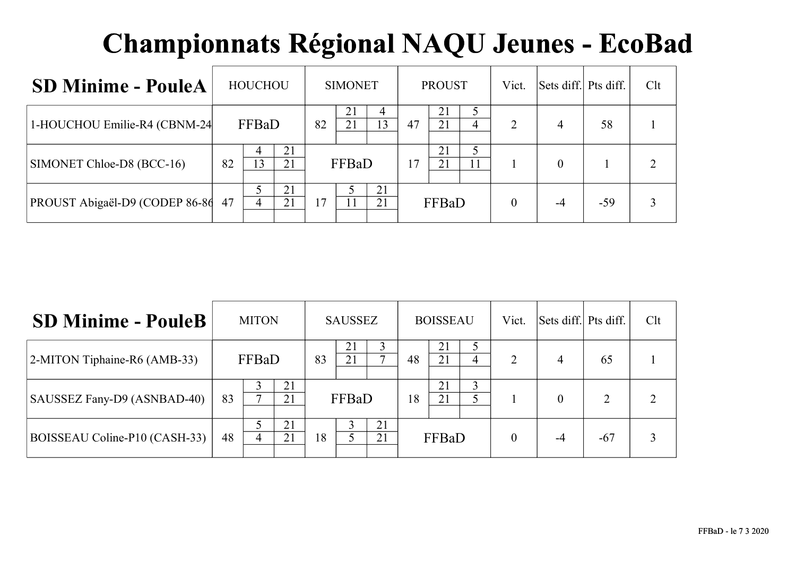| <b>SD Minime - PouleA</b>      |    | <b>HOUCHOU</b> |          |    | <b>SIMONET</b> |          |    | <b>PROUST</b> |    | Vict.    | Sets diff. Pts diff. |       | Clt                         |
|--------------------------------|----|----------------|----------|----|----------------|----------|----|---------------|----|----------|----------------------|-------|-----------------------------|
| 1-HOUCHOU Emilie-R4 (CBNM-24   |    | FFBaD          |          | 82 | 21<br>21       | 4<br>13  | 47 | 21<br>21      | 4  | 2        | 4                    | 58    |                             |
| SIMONET Chloe-D8 (BCC-16)      | 82 | 4<br>13        | 21<br>21 |    | FFBaD          |          | 17 | 21<br>21      | 11 |          |                      |       | $\mathcal{D}_{\mathcal{A}}$ |
| PROUST Abigaël-D9 (CODEP 86-86 | 47 | 4              | 21<br>21 | 17 |                | 21<br>21 |    | FFBaD         |    | $\theta$ | -4                   | $-59$ | 3                           |

| <b>SD Minime - PouleB</b>     |    | <b>MITON</b> |          |    | <b>SAUSSEZ</b> |          |    | <b>BOISSEAU</b> |   | Vict. | Sets diff. Pts diff. |                          | Clt |
|-------------------------------|----|--------------|----------|----|----------------|----------|----|-----------------|---|-------|----------------------|--------------------------|-----|
| 2-MITON Tiphaine-R6 (AMB-33)  |    | FFBaD        |          | 83 | 21             |          | 48 | 21<br>21        | 4 | 2     | 4                    | 65                       |     |
| SAUSSEZ Fany-D9 (ASNBAD-40)   | 83 |              | 21<br>21 |    | FFBaD          |          | 18 | 21<br>21        |   |       | $\theta$             | $\mathfrak{D}_{1}^{(1)}$ |     |
| BOISSEAU Coline-P10 (CASH-33) | 48 | 4            | 21<br>21 | 18 |                | 21<br>21 |    | FFBaD           |   |       | -4                   | $-67$                    |     |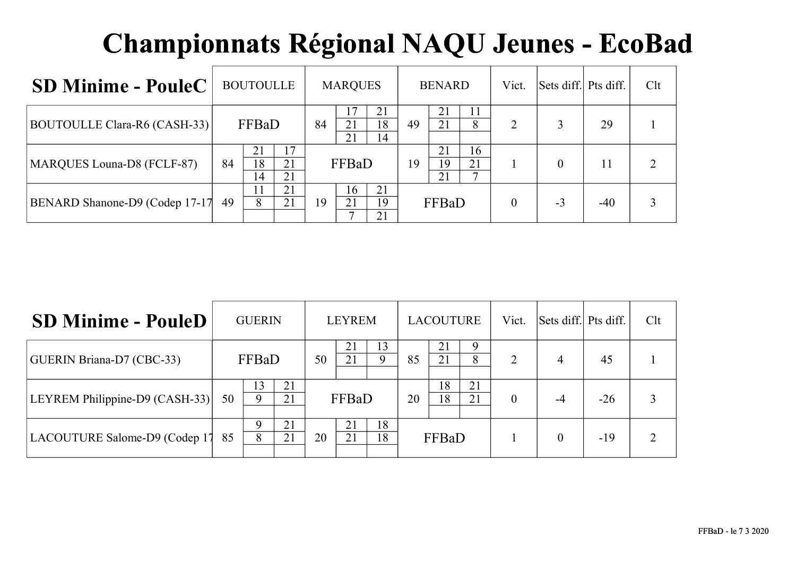| <b>SD Minime - PouleC</b>      | <b>BOUTOULLE</b>     |                |    | <b>MARQUES</b> |                |    | <b>BENARD</b>  |               | Vict. | Sets diff. Pts diff. |       | Clt                         |
|--------------------------------|----------------------|----------------|----|----------------|----------------|----|----------------|---------------|-------|----------------------|-------|-----------------------------|
| BOUTOULLE Clara-R6 (CASH-33)   | FFBaD                |                | 84 | 21<br>21       | 21<br>18<br>14 | 49 | 21<br>21       | 11<br>8       | 2     |                      | 29    |                             |
| MARQUES Louna-D8 (FCLF-87)     | 21<br>18<br>84<br>14 | 17<br>21<br>21 |    | FFBaD          |                | 19 | 21<br>19<br>21 | 16<br>21<br>⇁ |       | $\Omega$             | 11    | $\mathcal{D}_{\mathcal{L}}$ |
| BENARD Shanone-D9 (Codep 17-17 | 11<br>8<br>49        | 21<br>21       | 19 | 16<br>21       | 21<br>19<br>21 |    | FFBaD          |               |       | $-3$                 | $-40$ |                             |

| <b>SD Minime - PouleD</b>      |    | <b>GUERIN</b>  |          |    | <b>LEYREM</b> |          |    | <b>LACOUTURE</b> |          | Vict.          | Sets diff. Pts diff. |       | Clt |
|--------------------------------|----|----------------|----------|----|---------------|----------|----|------------------|----------|----------------|----------------------|-------|-----|
| GUERIN Briana-D7 (CBC-33)      |    | FFBaD          |          | 50 | 21            | 13       | 85 | 21<br>21         | 9<br>8   | $\overline{2}$ | 4                    | 45    |     |
| LEYREM Philippine-D9 (CASH-33) | 50 | 13<br>$\Omega$ | 21<br>21 |    | FFBaD         |          | 20 | 18<br>18         | 21<br>21 | $\theta$       | $-4$                 | $-26$ |     |
| LACOUTURE Salome-D9 (Codep 17  | 85 | 9<br>8         | 21<br>21 | 20 | 21<br>21      | 18<br>18 |    | FFBaD            |          |                | $\theta$             | $-19$ |     |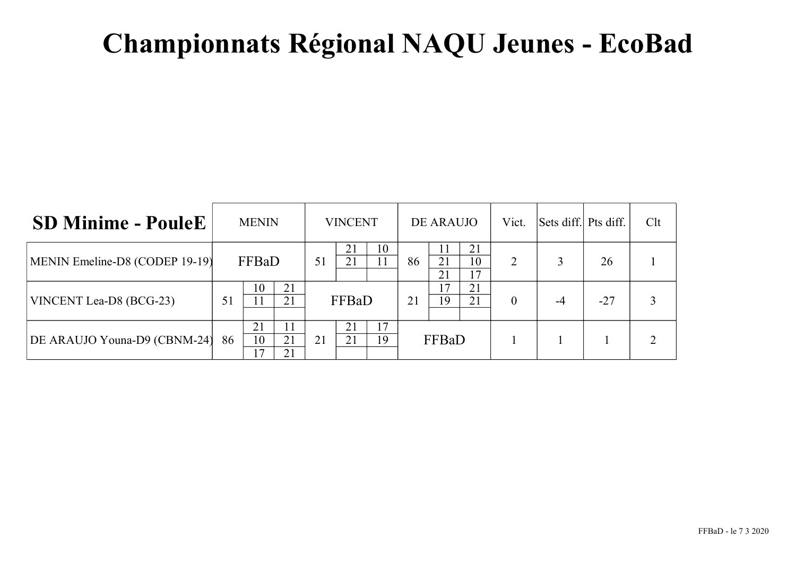| <b>SD Minime - PouleE</b>      |    | <b>MENIN</b>   |                |    | <b>VINCENT</b> |          |    | DE ARAUJO |                | Vict.          | Sets diff. Pts diff. |       | Clt |
|--------------------------------|----|----------------|----------------|----|----------------|----------|----|-----------|----------------|----------------|----------------------|-------|-----|
| MENIN Emeline-D8 (CODEP 19-19) |    | FFBaD          |                | 51 | 21<br>21       | 10<br>11 | 86 | 21<br>21  | 21<br>10<br>17 | 2              |                      | 26    |     |
| VINCENT Lea-D8 (BCG-23)        | 51 | 10             | 21<br>21       |    | FFBaD          |          | 21 | 17<br>19  | 21<br>21       | $\overline{0}$ |                      | $-27$ |     |
| DE ARAUJO Youna-D9 (CBNM-24)   | 86 | 21<br>10<br>۱7 | 11<br>21<br>21 | 21 | 21<br>21       | 17<br>19 |    | FFBaD     |                |                |                      |       |     |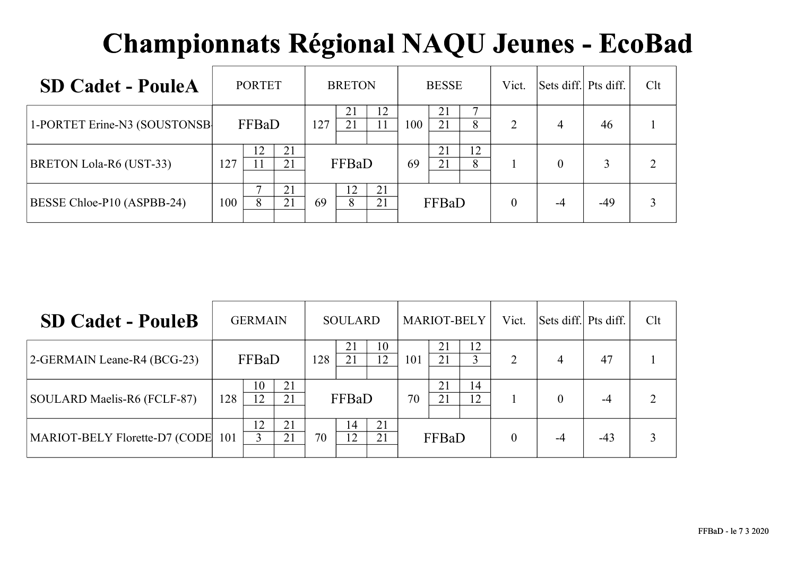| <b>SD Cadet - PouleA</b>     |     | <b>PORTET</b> |          |     | <b>BRETON</b> |          |     | <b>BESSE</b> |         | Vict.          | Sets diff. Pts diff. |       | Clt            |
|------------------------------|-----|---------------|----------|-----|---------------|----------|-----|--------------|---------|----------------|----------------------|-------|----------------|
| 1-PORTET Erine-N3 (SOUSTONSB |     | FFBaD         |          | 127 | 21<br>21      | 12       | 100 | 21<br>21     | −<br>8  | $\overline{2}$ | 4                    | 46    |                |
| BRETON Lola-R6 (UST-33)      | 127 | 12            | 21<br>21 |     | FFBaD         |          | 69  | 21<br>21     | 12<br>8 |                | $\Omega$             | 3     | $\overline{2}$ |
| BESSE Chloe-P10 (ASPBB-24)   | 100 | 8             | 21<br>21 | 69  | 12<br>8       | 21<br>21 |     | FFBaD        |         | $\theta$       | -4                   | $-49$ | 3              |

| <b>SD Cadet - PouleB</b>      |     | <b>GERMAIN</b> |          |     | <b>SOULARD</b> |          |     | <b>MARIOT-BELY</b> |          | Vict.    | Sets diff. Pts diff. |       | Clt |
|-------------------------------|-----|----------------|----------|-----|----------------|----------|-----|--------------------|----------|----------|----------------------|-------|-----|
| 2-GERMAIN Leane-R4 (BCG-23)   |     | FFBaD          |          | 128 | 21             | 10<br>12 | 101 | 21<br>21           | 12<br>3  | 2        | $\overline{4}$       | 47    |     |
| SOULARD Maelis-R6 (FCLF-87)   | 128 | 10<br>12       | 21<br>21 |     | FFBaD          |          | 70  | 21<br>21           | 14<br>12 |          | $\Omega$             | $-4$  |     |
| MARIOT-BELY Florette-D7 (CODE | 101 | 12             | 21<br>21 | 70  | 14<br>12       | 21<br>21 |     | FFBaD              |          | $\theta$ | -4                   | $-43$ |     |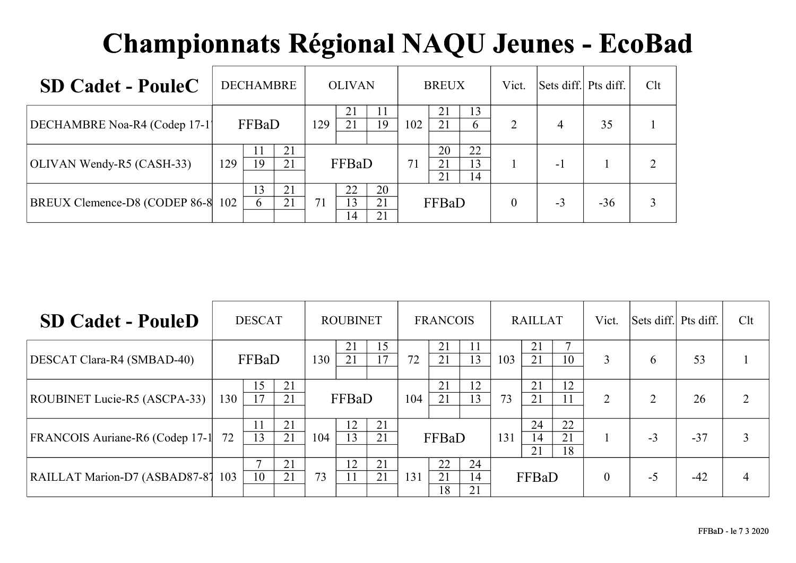| <b>SD Cadet - PouleC</b>          | <b>DECHAMBRE</b>            |     | <b>OLIVAN</b>              |                |     | <b>BREUX</b>   |                | Vict. | Sets diff. Pts diff. |       | Clt |
|-----------------------------------|-----------------------------|-----|----------------------------|----------------|-----|----------------|----------------|-------|----------------------|-------|-----|
| DECHAMBRE Noa-R4 (Codep 17-1)     | FFBaD                       | 129 | 21<br>21                   | 11<br>19       | 102 | 21<br>21       | 13<br>$\sigma$ | 2     | 4                    | 35    |     |
| OLIVAN Wendy-R5 (CASH-33)         | 21<br>11<br>19<br>21<br>129 |     | FFBaD                      |                | 71  | 20<br>21<br>21 | 22<br>13<br>14 |       | - 1                  |       |     |
| BREUX Clemence-D8 (CODEP 86-8 102 | 13<br>21<br>21<br>$\sigma$  | 71  | 22<br>13<br>$\overline{4}$ | 20<br>21<br>21 |     | FFBaD          |                | 0     | $-3$                 | $-36$ |     |

| <b>SD Cadet - PouleD</b>        | <b>DESCAT</b> |          |          | <b>ROUBINET</b> |          |          | <b>FRANCOIS</b> |                |                | <b>RAILLAT</b> |                |                | Vict.          | Sets diff. Pts diff. |       | Clt |
|---------------------------------|---------------|----------|----------|-----------------|----------|----------|-----------------|----------------|----------------|----------------|----------------|----------------|----------------|----------------------|-------|-----|
| DESCAT Clara-R4 (SMBAD-40)      |               | FFBaD    |          | 130             | 21<br>21 | 15<br>17 | 72              | 21<br>21       | 11<br>13       | 103            | 21<br>21       | 10             | $\overline{3}$ | 6                    | 53    |     |
| ROUBINET Lucie-R5 (ASCPA-33)    | 130           | 15<br>17 | 21<br>21 |                 | FFBaD    |          | 104             | 21<br>21       | 12<br>13       | 73             | 21<br>21       | 12             | $\overline{2}$ | $\mathcal{D}$        | 26    |     |
| FRANCOIS Auriane-R6 (Codep 17-1 | 72            | 13       | 21<br>21 | 104             | 12<br>13 | 21<br>21 | FFBaD           |                |                | 131            | 24<br>14<br>21 | 22<br>21<br>18 |                | $-3$                 | $-37$ | 3   |
| RAILLAT Marion-D7 (ASBAD87-87   | 103           | 10       | 21<br>21 | 73              | 12<br>11 | 21<br>21 | 131             | 22<br>21<br>18 | 24<br>14<br>21 |                | FFBaD          |                | $\mathbf{0}$   | $-5$                 | $-42$ | 4   |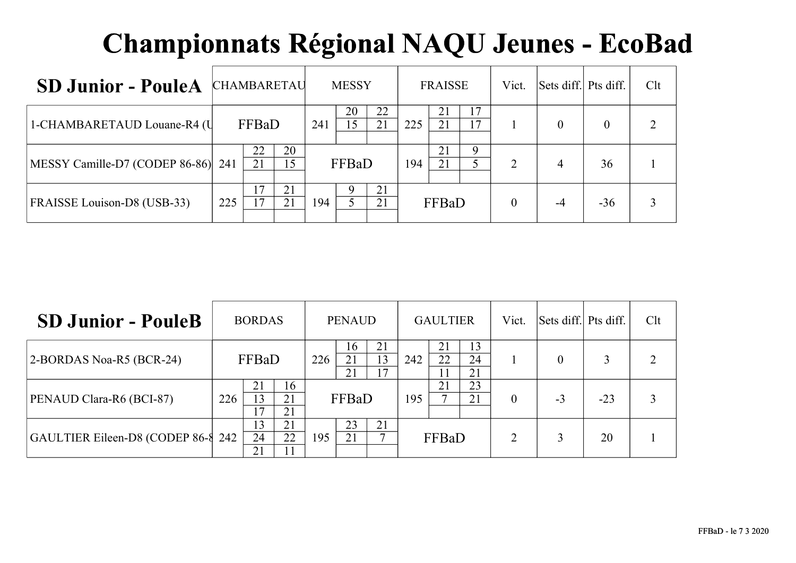| <b>SD Junior - PouleA</b>          | <b>CHAMBARETAU</b> |          |          |     | <b>MESSY</b> |          | <b>FRAISSE</b> |          |             | Vict.    | Sets diff. Pts diff. |          | Clt |
|------------------------------------|--------------------|----------|----------|-----|--------------|----------|----------------|----------|-------------|----------|----------------------|----------|-----|
| 1-CHAMBARETAUD Louane-R4 (U        |                    | FFBaD    |          | 241 | 20<br>15     | 22<br>21 | 225            | 21<br>21 | 17<br>17    |          | $\Omega$             | $\theta$ |     |
| MESSY Camille-D7 (CODEP 86-86) 241 |                    | 22<br>21 | 20<br>15 |     | FFBaD        |          | 194            | 21<br>21 | $\mathbf Q$ | 2        | 4                    | 36       |     |
| FRAISSE Louison-D8 (USB-33)        | 225                | 17<br>17 | 21<br>21 | 194 |              | 21<br>21 |                | FFBaD    |             | $\theta$ | -4                   | $-36$    |     |

| <b>SD Junior - PouleB</b>          | <b>BORDAS</b> |                |                |     | <b>PENAUD</b>  |                | <b>GAULTIER</b> |                |                | Vict.          | Sets diff. Pts diff. |       | Clt |
|------------------------------------|---------------|----------------|----------------|-----|----------------|----------------|-----------------|----------------|----------------|----------------|----------------------|-------|-----|
| 2-BORDAS Noa-R5 (BCR-24)           | FFBaD         |                |                | 226 | 16<br>21<br>21 | 21<br>13<br>17 | 242             | 21<br>22<br>11 | 13<br>24<br>21 |                |                      |       |     |
| PENAUD Clara-R6 (BCI-87)           | 226           | 21<br>13       | 16<br>21<br>21 |     | FFBaD          |                | 195             | 21             | 23<br>21       | $\theta$       | $-3$                 | $-23$ |     |
| GAULTIER Eileen-D8 (CODEP 86-8 242 |               | 13<br>24<br>21 | 21<br>22<br>11 | 195 | 23<br>21       | 21             |                 | FFBaD          |                | $\overline{2}$ |                      | 20    |     |